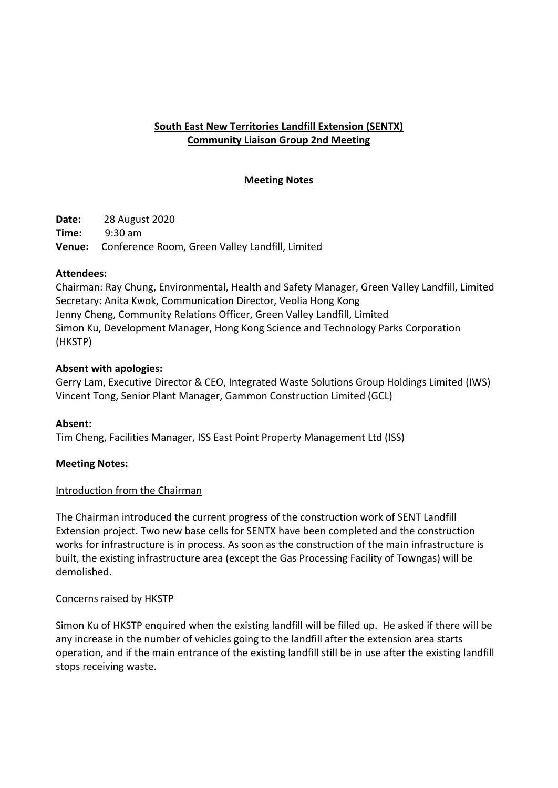# **South East New Territories Landfill Extension (SENTX) Community Liaison Group 2nd Meeting**

## **Meeting Notes**

**Date:** 28 August 2020 **Time:** 9:30 am **Venue:** Conference Room, Green Valley Landfill, Limited

#### **Attendees:**

Chairman: Ray Chung, Environmental, Health and Safety Manager, Green Valley Landfill, Limited Secretary: Anita Kwok, Communication Director, Veolia Hong Kong Jenny Cheng, Community Relations Officer, Green Valley Landfill, Limited Simon Ku, Development Manager, Hong Kong Science and Technology Parks Corporation (HKSTP)

### **Absent with apologies:**

Gerry Lam, Executive Director & CEO, Integrated Waste Solutions Group Holdings Limited (IWS) Vincent Tong, Senior Plant Manager, Gammon Construction Limited (GCL)

#### **Absent:**

Tim Cheng, Facilities Manager, ISS East Point Property Management Ltd (ISS)

#### **Meeting Notes:**

#### Introduction from the Chairman

The Chairman introduced the current progress of the construction work of SENT Landfill Extension project. Two new base cells for SENTX have been completed and the construction works for infrastructure is in process. As soon as the construction of the main infrastructure is built, the existing infrastructure area (except the Gas Processing Facility of Towngas) will be demolished.

#### Concerns raised by HKSTP

Simon Ku of HKSTP enquired when the existing landfill will be filled up. He asked if there will be any increase in the number of vehicles going to the landfill after the extension area starts operation, and if the main entrance of the existing landfill still be in use after the existing landfill stops receiving waste.